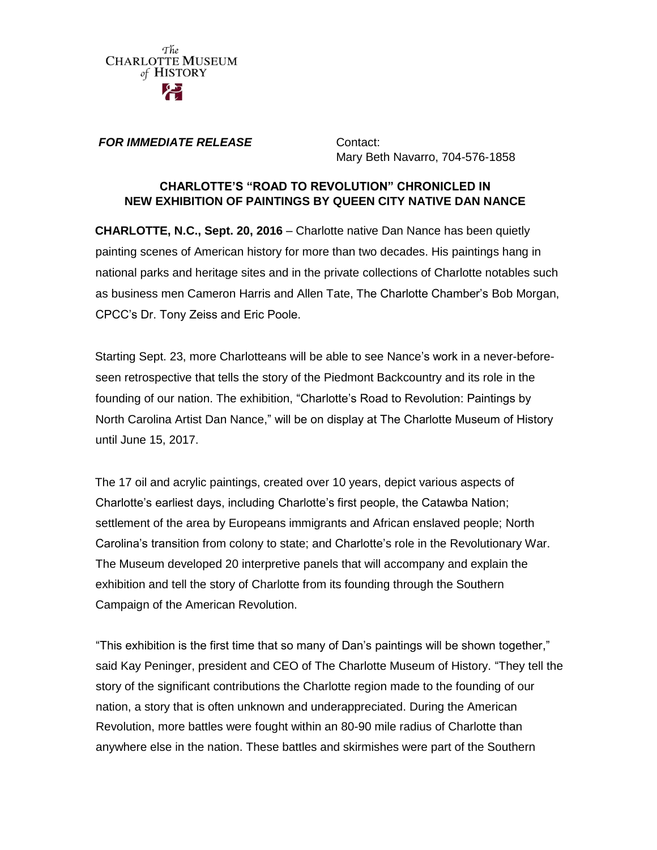

#### *FOR IMMEDIATE RELEASE* **Contact:**

Mary Beth Navarro, 704-576-1858

### **CHARLOTTE'S "ROAD TO REVOLUTION" CHRONICLED IN NEW EXHIBITION OF PAINTINGS BY QUEEN CITY NATIVE DAN NANCE**

**CHARLOTTE, N.C., Sept. 20, 2016** – Charlotte native Dan Nance has been quietly painting scenes of American history for more than two decades. His paintings hang in national parks and heritage sites and in the private collections of Charlotte notables such as business men Cameron Harris and Allen Tate, The Charlotte Chamber's Bob Morgan, CPCC's Dr. Tony Zeiss and Eric Poole.

Starting Sept. 23, more Charlotteans will be able to see Nance's work in a never-beforeseen retrospective that tells the story of the Piedmont Backcountry and its role in the founding of our nation. The exhibition, "Charlotte's Road to Revolution: Paintings by North Carolina Artist Dan Nance," will be on display at The Charlotte Museum of History until June 15, 2017.

The 17 oil and acrylic paintings, created over 10 years, depict various aspects of Charlotte's earliest days, including Charlotte's first people, the Catawba Nation; settlement of the area by Europeans immigrants and African enslaved people; North Carolina's transition from colony to state; and Charlotte's role in the Revolutionary War. The Museum developed 20 interpretive panels that will accompany and explain the exhibition and tell the story of Charlotte from its founding through the Southern Campaign of the American Revolution.

"This exhibition is the first time that so many of Dan's paintings will be shown together," said Kay Peninger, president and CEO of The Charlotte Museum of History. "They tell the story of the significant contributions the Charlotte region made to the founding of our nation, a story that is often unknown and underappreciated. During the American Revolution, more battles were fought within an 80-90 mile radius of Charlotte than anywhere else in the nation. These battles and skirmishes were part of the Southern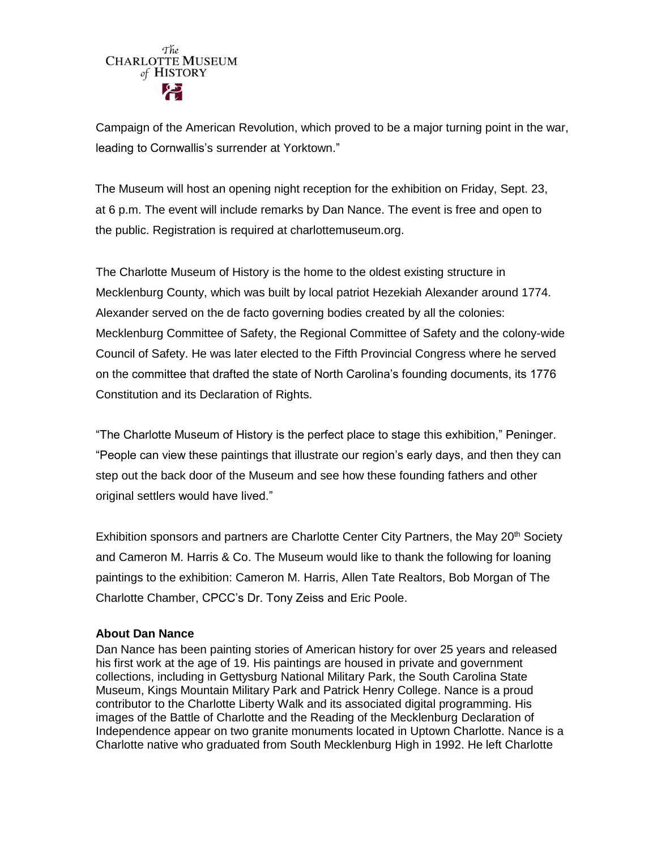# The **CHARLOTTE MUSEUM** of HISTORY

Campaign of the American Revolution, which proved to be a major turning point in the war, leading to Cornwallis's surrender at Yorktown."

The Museum will host an opening night reception for the exhibition on Friday, Sept. 23, at 6 p.m. The event will include remarks by Dan Nance. The event is free and open to the public. Registration is required at charlottemuseum.org.

The Charlotte Museum of History is the home to the oldest existing structure in Mecklenburg County, which was built by local patriot Hezekiah Alexander around 1774. Alexander served on the de facto governing bodies created by all the colonies: Mecklenburg Committee of Safety, the Regional Committee of Safety and the colony-wide Council of Safety. He was later elected to the Fifth Provincial Congress where he served on the committee that drafted the state of North Carolina's founding documents, its 1776 Constitution and its Declaration of Rights.

"The Charlotte Museum of History is the perfect place to stage this exhibition," Peninger. "People can view these paintings that illustrate our region's early days, and then they can step out the back door of the Museum and see how these founding fathers and other original settlers would have lived."

Exhibition sponsors and partners are Charlotte Center City Partners, the May 20<sup>th</sup> Society and Cameron M. Harris & Co. The Museum would like to thank the following for loaning paintings to the exhibition: Cameron M. Harris, Allen Tate Realtors, Bob Morgan of The Charlotte Chamber, CPCC's Dr. Tony Zeiss and Eric Poole.

## **About Dan Nance**

Dan Nance has been painting stories of American history for over 25 years and released his first work at the age of 19. His paintings are housed in private and government collections, including in Gettysburg National Military Park, the South Carolina State Museum, Kings Mountain Military Park and Patrick Henry College. Nance is a proud contributor to the Charlotte Liberty Walk and its associated digital programming. His images of the Battle of Charlotte and the Reading of the Mecklenburg Declaration of Independence appear on two granite monuments located in Uptown Charlotte. Nance is a Charlotte native who graduated from South Mecklenburg High in 1992. He left Charlotte